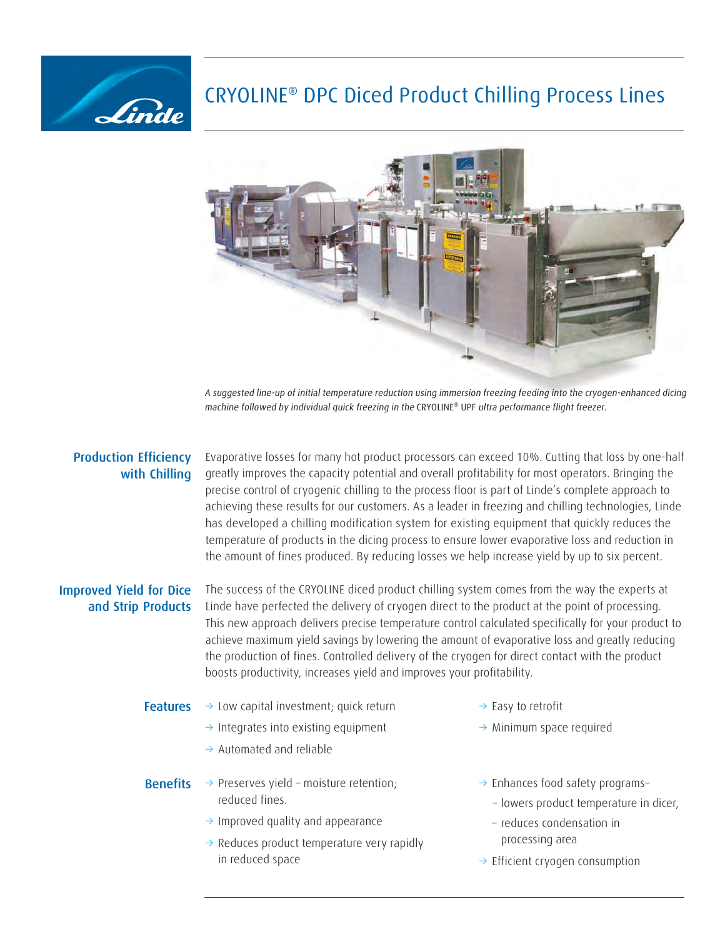## CRYOLINE® DPC Diced Product Chilling Process Lines



A suggested line-up of initial temperature reduction using immersion freezing feeding into the cryogen-enhanced dicing machine followed by individual quick freezing in the CRYOLINE® UPF ultra performance flight freezer.

## Production Efficiency with Chilling

Linde

Evaporative losses for many hot product processors can exceed 10%. Cutting that loss by one-half greatly improves the capacity potential and overall profitability for most operators. Bringing the precise control of cryogenic chilling to the process floor is part of Linde's complete approach to achieving these results for our customers. As a leader in freezing and chilling technologies, Linde has developed a chilling modification system for existing equipment that quickly reduces the temperature of products in the dicing process to ensure lower evaporative loss and reduction in the amount of fines produced. By reducing losses we help increase yield by up to six percent.

## Improved Yield for Dice and Strip Products

The success of the CRYOLINE diced product chilling system comes from the way the experts at Linde have perfected the delivery of cryogen direct to the product at the point of processing. This new approach delivers precise temperature control calculated specifically for your product to achieve maximum yield savings by lowering the amount of evaporative loss and greatly reducing the production of fines. Controlled delivery of the cryogen for direct contact with the product boosts productivity, increases yield and improves your profitability.

- **Features**  $\rightarrow$  Low capital investment; quick return  $\rightarrow$  Easy to retrofit
	- $\rightarrow$  Integrates into existing equipment
	- $\rightarrow$  Automated and reliable
- **Benefits**  $\rightarrow$  Preserves yield moisture retention;  $\rightarrow$  Enhances food safety programs– reduced fines.
	- $\rightarrow$  Improved quality and appearance
	- $\rightarrow$  Reduces product temperature very rapidly in reduced space
- 
- $\rightarrow$  Minimum space required
- - lowers product temperature in dicer,
- reduces condensation in processing area
- $\rightarrow$  Efficient cryogen consumption